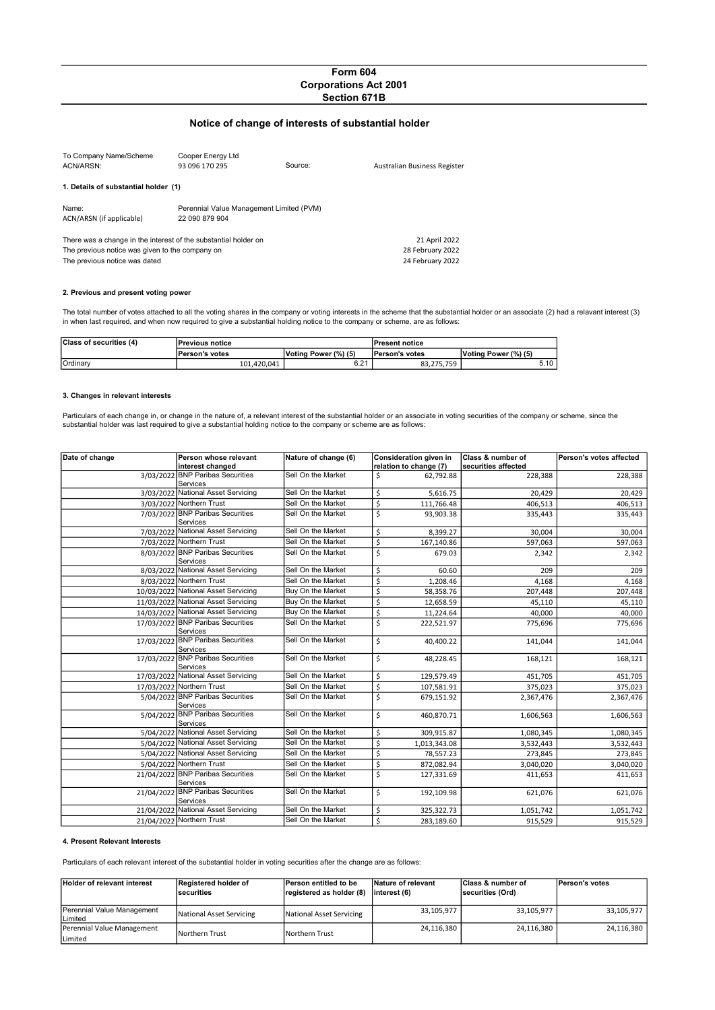# Form 604 Corporations Act 2001 Section 671B

# Notice of change of interests of substantial holder

| To Company Name/Scheme<br>ACN/ARSN:                                                                                                                 | Cooper Energy Ltd<br>93 096 170 295                        | Source:                                               | Australian Business Register |
|-----------------------------------------------------------------------------------------------------------------------------------------------------|------------------------------------------------------------|-------------------------------------------------------|------------------------------|
| 1. Details of substantial holder (1)                                                                                                                |                                                            |                                                       |                              |
| Name:<br>ACN/ARSN (if applicable)                                                                                                                   | Perennial Value Management Limited (PVM)<br>22 090 879 904 |                                                       |                              |
| There was a change in the interest of the substantial holder on<br>The previous notice was given to the company on<br>The previous notice was dated |                                                            | 21 April 2022<br>28 February 2022<br>24 February 2022 |                              |

## 2. Previous and present voting power

The total number of votes attached to all the voting shares in the company or voting interests in the scheme that the substantial holder or an associate (2) had a relavant interest (3)<br>in when last required, and when now r

| Class of securities (4) | <b>Previous notice</b> |                      | <b>IPresent notice</b> |                      |
|-------------------------|------------------------|----------------------|------------------------|----------------------|
|                         | <b>IPerson's votes</b> | Voting Power (%) (5) | <b>Person's votes</b>  | Voting Power (%) (5) |
| Ordinary                | 101.420.041            | <b>COM</b><br>0.Z I  | 83.275.759             | 5.10                 |

## 3. Changes in relevant interests

Particulars of each change in, or change in the nature of, a relevant interest of the substantial holder or an associate in voting securities of the company or scheme, since the<br>substantial holder was last required to give

| Date of change | Person whose relevant                         | Nature of change (6) | Consideration given in         | Class & number of   | Person's votes affected |
|----------------|-----------------------------------------------|----------------------|--------------------------------|---------------------|-------------------------|
|                | interest changed                              |                      | relation to change (7)         | securities affected |                         |
|                | 3/03/2022 BNP Paribas Securities<br>Services  | Sell On the Market   | \$<br>62,792.88                | 228,388             | 228,388                 |
|                | 3/03/2022 National Asset Servicing            | Sell On the Market   | \$<br>5,616.75                 | 20,429              | 20,429                  |
|                | 3/03/2022 Northern Trust                      | Sell On the Market   | \$<br>111,766.48               | 406,513             | 406,513                 |
|                | 7/03/2022 BNP Paribas Securities<br>Services  | Sell On the Market   | \$<br>93,903.38                | 335,443             | 335,443                 |
|                | 7/03/2022 National Asset Servicing            | Sell On the Market   | \$<br>8,399.27                 | 30,004              | 30,004                  |
|                | 7/03/2022 Northern Trust                      | Sell On the Market   | $\overline{\xi}$<br>167,140.86 | 597,063             | 597,063                 |
|                | 8/03/2022 BNP Paribas Securities<br>Services  | Sell On the Market   | \$<br>679.03                   | 2,342               | 2,342                   |
|                | 8/03/2022 National Asset Servicing            | Sell On the Market   | \$                             | 60.60<br>209        | 209                     |
|                | 8/03/2022 Northern Trust                      | Sell On the Market   | \$<br>1,208.46                 | 4,168               | 4,168                   |
|                | 10/03/2022 National Asset Servicing           | Buy On the Market    | \$<br>58,358.76                | 207,448             | 207,448                 |
|                | 11/03/2022 National Asset Servicing           | Buy On the Market    | \$<br>12,658.59                | 45,110              | 45,110                  |
|                | 14/03/2022 National Asset Servicing           | Buy On the Market    | \$<br>11,224.64                | 40,000              | 40,000                  |
|                | 17/03/2022 BNP Paribas Securities<br>Services | Sell On the Market   | \$<br>222,521.97               | 775,696             | 775,696                 |
|                | 17/03/2022 BNP Paribas Securities<br>Services | Sell On the Market   | \$<br>40,400.22                | 141,044             | 141,044                 |
|                | 17/03/2022 BNP Paribas Securities<br>Services | Sell On the Market   | \$<br>48,228.45                | 168,121             | 168,121                 |
|                | 17/03/2022 National Asset Servicing           | Sell On the Market   | \$<br>129,579.49               | 451,705             | 451,705                 |
|                | 17/03/2022 Northern Trust                     | Sell On the Market   | \$<br>107,581.91               | 375,023             | 375,023                 |
|                | 5/04/2022 BNP Paribas Securities<br>Services  | Sell On the Market   | \$<br>679,151.92               | 2,367,476           | 2,367,476               |
|                | 5/04/2022 BNP Paribas Securities<br>Services  | Sell On the Market   | \$<br>460,870.71               | 1,606,563           | 1,606,563               |
|                | 5/04/2022 National Asset Servicing            | Sell On the Market   | \$<br>309,915.87               | 1,080,345           | 1,080,345               |
|                | 5/04/2022 National Asset Servicing            | Sell On the Market   | \$<br>1,013,343.08             | 3,532,443           | 3,532,443               |
|                | 5/04/2022 National Asset Servicing            | Sell On the Market   | \$<br>78,557.23                | 273,845             | 273,845                 |
|                | 5/04/2022 Northern Trust                      | Sell On the Market   | \$<br>872,082.94               | 3,040,020           | 3,040,020               |
|                | 21/04/2022 BNP Paribas Securities<br>Services | Sell On the Market   | \$<br>127,331.69               | 411,653             | 411,653                 |
|                | 21/04/2022 BNP Paribas Securities<br>Services | Sell On the Market   | \$<br>192,109.98               | 621,076             | 621,076                 |
|                | 21/04/2022 National Asset Servicing           | Sell On the Market   | \$<br>325,322.73               | 1,051,742           | 1,051,742               |
|                | 21/04/2022 Northern Trust                     | Sell On the Market   | \$<br>283,189.60               | 915,529             | 915,529                 |

## 4. Present Relevant Interests

Particulars of each relevant interest of the substantial holder in voting securities after the change are as follows:

| <b>Holder of relevant interest</b>    | Registered holder of<br><b>Securities</b> | Person entitled to be<br>registered as holder (8) | Nature of relevant<br>linterest (6) | <b>Class &amp; number of</b><br>securities (Ord) | <b>Person's votes</b> |
|---------------------------------------|-------------------------------------------|---------------------------------------------------|-------------------------------------|--------------------------------------------------|-----------------------|
| Perennial Value Management<br>Limited | National Asset Servicing                  | National Asset Servicing                          | 33,105,977                          | 33.105.977                                       | 33.105.977            |
| Perennial Value Management<br>Limited | Northern Trust                            | Northern Trust                                    | 24,116,380                          | 24,116,380                                       | 24.116.380            |